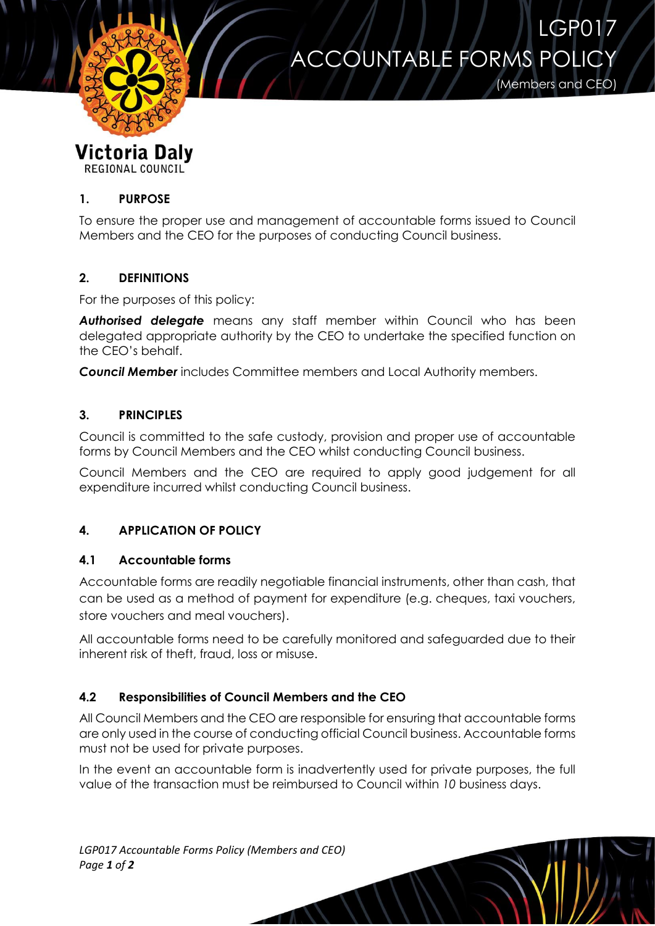

# **ACCOUNTABLE FORMS POL**

(Members and CEO)

LGP017

# **Victoria Daly**

REGIONAL COUNCIL

### **1. PURPOSE**

To ensure the proper use and management of accountable forms issued to Council Members and the CEO for the purposes of conducting Council business.

### **2. DEFINITIONS**

For the purposes of this policy:

*Authorised delegate* means any staff member within Council who has been delegated appropriate authority by the CEO to undertake the specified function on the CEO's behalf.

*Council Member* includes Committee members and Local Authority members.

### **3. PRINCIPLES**

Council is committed to the safe custody, provision and proper use of accountable forms by Council Members and the CEO whilst conducting Council business.

Council Members and the CEO are required to apply good judgement for all expenditure incurred whilst conducting Council business.

## **4. APPLICATION OF POLICY**

#### **4.1 Accountable forms**

Accountable forms are readily negotiable financial instruments, other than cash, that can be used as a method of payment for expenditure (e.g. cheques, taxi vouchers, store vouchers and meal vouchers).

All accountable forms need to be carefully monitored and safeguarded due to their inherent risk of theft, fraud, loss or misuse.

#### **4.2 Responsibilities of Council Members and the CEO**

All Council Members and the CEO are responsible for ensuring that accountable forms are only used in the course of conducting official Council business. Accountable forms must not be used for private purposes.

In the event an accountable form is inadvertently used for private purposes, the full value of the transaction must be reimbursed to Council within *10* business days.